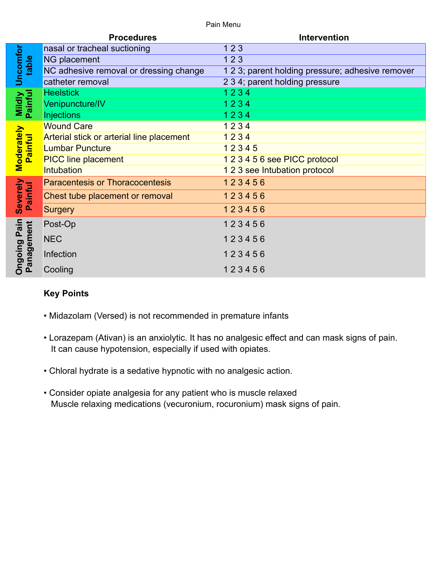Pain Menu

|                                      | <b>Procedures</b>                         | <b>Intervention</b>                              |
|--------------------------------------|-------------------------------------------|--------------------------------------------------|
| Uncomfor<br>table                    | nasal or tracheal suctioning              | 123                                              |
|                                      | <b>NG placement</b>                       | 123                                              |
|                                      | NC adhesive removal or dressing change    | 1 2 3; parent holding pressure; adhesive remover |
|                                      | catheter removal                          | 2 3 4; parent holding pressure                   |
| <b>Mildly</b><br>Painful             | <b>Heelstick</b>                          | 1234                                             |
|                                      | Venipuncture/IV                           | 1234                                             |
|                                      | <b>Injections</b>                         | 1234                                             |
| <b>Moderately</b><br>Painful         | <b>Wound Care</b>                         | 1234                                             |
|                                      | Arterial stick or arterial line placement | 1234                                             |
|                                      | <b>Lumbar Puncture</b>                    | 12345                                            |
|                                      | <b>PICC line placement</b>                | 123456 see PICC protocol                         |
|                                      | Intubation                                | 1 2 3 see Intubation protocol                    |
| Severely<br>Painful                  | <b>Paracentesis or Thoracocentesis</b>    | 123456                                           |
|                                      | Chest tube placement or removal           | 123456                                           |
|                                      | Surgery                                   | 123456                                           |
| Pain<br>Panagement<br><b>Ongoing</b> | Post-Op                                   | 123456                                           |
|                                      | <b>NEC</b>                                | 123456                                           |
|                                      | Infection                                 | 123456                                           |
|                                      | Cooling                                   | 123456                                           |

## **Key Points**

- Midazolam (Versed) is not recommended in premature infants
- Lorazepam (Ativan) is an anxiolytic. It has no analgesic effect and can mask signs of pain. It can cause hypotension, especially if used with opiates.
- Chloral hydrate is a sedative hypnotic with no analgesic action.
- Consider opiate analgesia for any patient who is muscle relaxed Muscle relaxing medications (vecuronium, rocuronium) mask signs of pain.